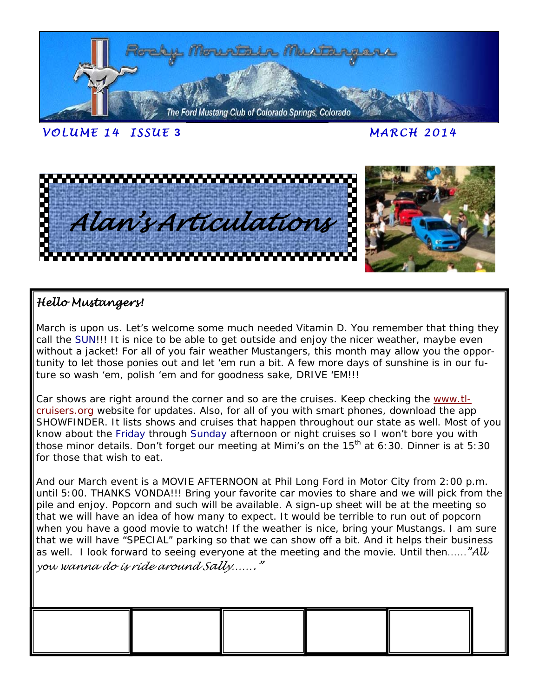

*VOLUME 14 ISSUE* **3** *MARCH 2014* 



## *Hello Mustangers!*

March is upon us. Let's welcome some much needed Vitamin D. You remember that thing they call the SUN!!! It is nice to be able to get outside and enjoy the nicer weather, maybe even without a jacket! For all of you fair weather Mustangers, this month may allow you the opportunity to let those ponies out and let 'em run a bit. A few more days of sunshine is in our future so wash 'em, polish 'em and for goodness sake, DRIVE 'EM!!!

Car shows are right around the corner and so are the cruises. Keep checking the www.tlcruisers.org website for updates. Also, for all of you with smart phones, download the app SHOWFINDER. It lists shows and cruises that happen throughout our state as well. Most of you know about the Friday through Sunday afternoon or night cruises so I won't bore you with those minor details. Don't forget our meeting at Mimi's on the 15<sup>th</sup> at 6:30. Dinner is at 5:30 for those that wish to eat.

And our March event is a MOVIE AFTERNOON at Phil Long Ford in Motor City from 2:00 p.m. until 5:00. THANKS VONDA!!! Bring your favorite car movies to share and we will pick from the pile and enjoy. Popcorn and such will be available. A sign-up sheet will be at the meeting so that we will have an idea of how many to expect. It would be terrible to run out of popcorn when you have a good movie to watch! If the weather is nice, bring your Mustangs. I am sure that we will have "SPECIAL" parking so that we can show off a bit. And it helps their business as well. I look forward to seeing everyone at the meeting and the movie. Until then*……"All you wanna do is ride around Sally……."*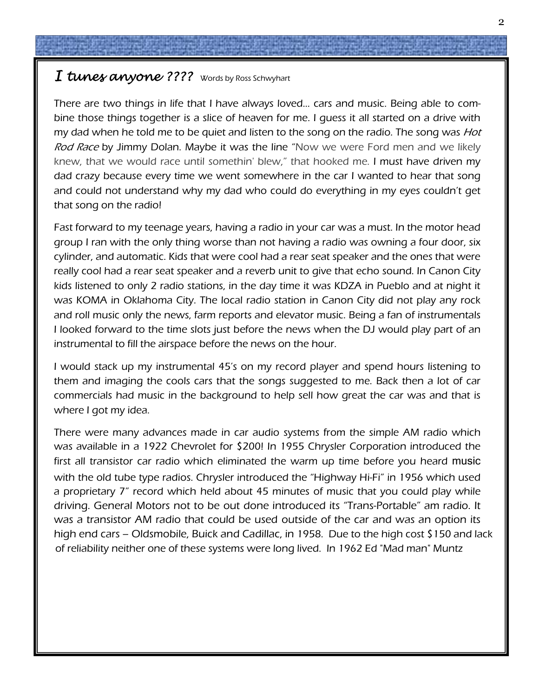## *I tunes anyone ????* Words by Ross Schwyhart

There are two things in life that I have always loved… cars and music. Being able to combine those things together is a slice of heaven for me. I guess it all started on a drive with my dad when he told me to be quiet and listen to the song on the radio. The song was *Hot* Rod Race by Jimmy Dolan. Maybe it was the line "Now we were Ford men and we likely knew, that we would race until somethin' blew," that hooked me. I must have driven my dad crazy because every time we went somewhere in the car I wanted to hear that song and could not understand why my dad who could do everything in my eyes couldn't get that song on the radio!

Fast forward to my teenage years, having a radio in your car was a must. In the motor head group I ran with the only thing worse than not having a radio was owning a four door, six cylinder, and automatic. Kids that were cool had a rear seat speaker and the ones that were really cool had a rear seat speaker and a reverb unit to give that echo sound. In Canon City kids listened to only 2 radio stations, in the day time it was KDZA in Pueblo and at night it was KOMA in Oklahoma City. The local radio station in Canon City did not play any rock and roll music only the news, farm reports and elevator music. Being a fan of instrumentals I looked forward to the time slots just before the news when the DJ would play part of an instrumental to fill the airspace before the news on the hour.

I would stack up my instrumental 45's on my record player and spend hours listening to them and imaging the cools cars that the songs suggested to me. Back then a lot of car commercials had music in the background to help sell how great the car was and that is where I got my idea.

There were many advances made in car audio systems from the simple AM radio which was available in a 1922 Chevrolet for \$200! In 1955 Chrysler Corporation introduced the first all transistor car radio which eliminated the warm up time before you heard music with the old tube type radios. Chrysler introduced the "Highway Hi-Fi" in 1956 which used a proprietary 7" record which held about 45 minutes of music that you could play while driving. General Motors not to be out done introduced its "Trans-Portable" am radio. It was a transistor AM radio that could be used outside of the car and was an option its high end cars – Oldsmobile, Buick and Cadillac, in 1958. Due to the high cost \$150 and lack of reliability neither one of these systems were long lived. In 1962 Ed "Mad man" Muntz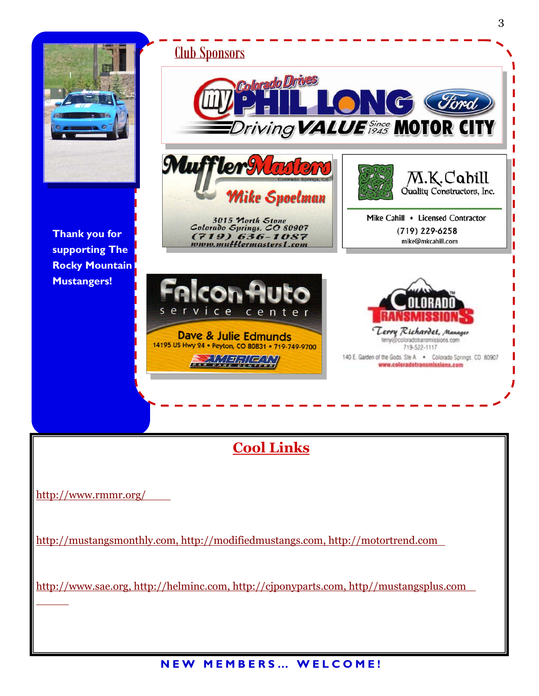

**Thank you for supporting The Rocky Mountain Mustangers!** 



## **Cool Links**

http://www.rmmr.org/

http://mustangsmonthly.com, http://modifiedmustangs.com, http://motortrend.com

http://www.sae.org, http://helminc.com, http://cjponyparts.com, http//mustangsplus.com

### **NEW MEMBERS… WELCOME!**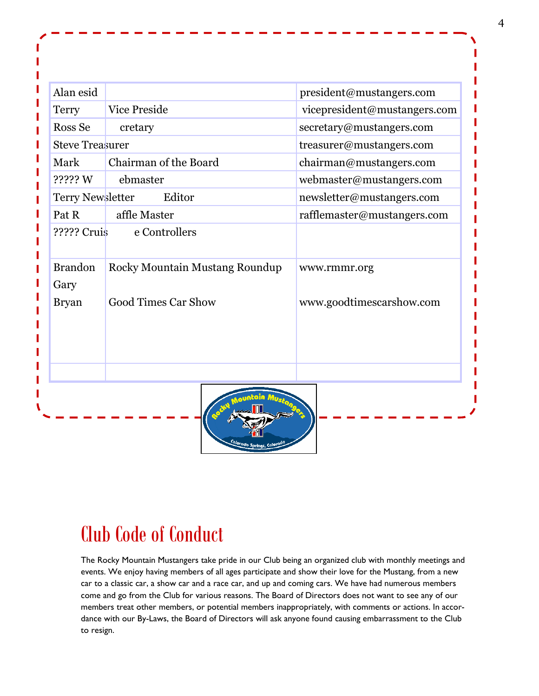| Alan esid              |                                | president@mustangers.com                 |  |  |
|------------------------|--------------------------------|------------------------------------------|--|--|
| Terry                  | <b>Vice Preside</b>            | vicepresident@mustangers.com             |  |  |
| Ross Se                | cretary                        | secretary@mustangers.com                 |  |  |
| <b>Steve Treasurer</b> |                                | treasurer@mustangers.com                 |  |  |
| Mark                   | Chairman of the Board          | chairman@mustangers.com                  |  |  |
| ????? W                | ebmaster                       | webmaster@mustangers.com                 |  |  |
| Terry Newsletter       | Editor                         | newsletter@mustangers.com                |  |  |
| Pat R                  | affle Master                   | rafflemaster@mustangers.com              |  |  |
| ????? Cruis            | e Controllers                  |                                          |  |  |
| <b>Brandon</b><br>Gary | Rocky Mountain Mustang Roundup | www.rmmr.org<br>www.goodtimescarshow.com |  |  |
| <b>Bryan</b>           | <b>Good Times Car Show</b>     |                                          |  |  |
|                        | Colorado Springs, Co           |                                          |  |  |

# Club Code of Conduct

The Rocky Mountain Mustangers take pride in our Club being an organized club with monthly meetings and events. We enjoy having members of all ages participate and show their love for the Mustang, from a new car to a classic car, a show car and a race car, and up and coming cars. We have had numerous members come and go from the Club for various reasons. The Board of Directors does not want to see any of our members treat other members, or potential members inappropriately, with comments or actions. In accordance with our By-Laws, the Board of Directors will ask anyone found causing embarrassment to the Club to resign.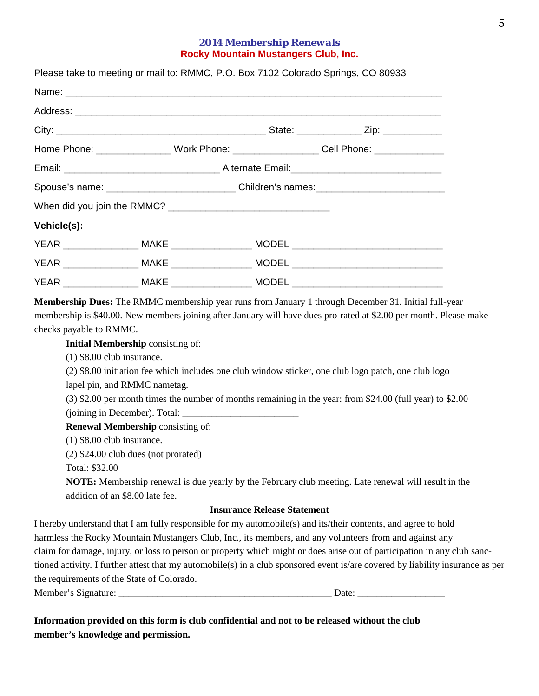### *2014 Membership Renewals* **Rocky Mountain Mustangers Club, Inc.**

|             | Please take to meeting or mail to: RMMC, P.O. Box 7102 Colorado Springs, CO 80933          |  |  |
|-------------|--------------------------------------------------------------------------------------------|--|--|
|             |                                                                                            |  |  |
|             |                                                                                            |  |  |
|             |                                                                                            |  |  |
|             | Home Phone: __________________ Work Phone: ___________________ Cell Phone: _______________ |  |  |
|             |                                                                                            |  |  |
|             |                                                                                            |  |  |
|             |                                                                                            |  |  |
| Vehicle(s): |                                                                                            |  |  |
|             |                                                                                            |  |  |
|             |                                                                                            |  |  |
|             |                                                                                            |  |  |

**Membership Dues:** The RMMC membership year runs from January 1 through December 31. Initial full-year membership is \$40.00. New members joining after January will have dues pro-rated at \$2.00 per month. Please make checks payable to RMMC.

 **Initial Membership** consisting of:

(1) \$8.00 club insurance.

(2) \$8.00 initiation fee which includes one club window sticker, one club logo patch, one club logo

lapel pin, and RMMC nametag.

 (3) \$2.00 per month times the number of months remaining in the year: from \$24.00 (full year) to \$2.00 (joining in December). Total:

**Renewal Membership consisting of:** 

(1) \$8.00 club insurance.

(2) \$24.00 club dues (not prorated)

Total: \$32.00

 **NOTE:** Membership renewal is due yearly by the February club meeting. Late renewal will result in the addition of an \$8.00 late fee.

#### **Insurance Release Statement**

I hereby understand that I am fully responsible for my automobile(s) and its/their contents, and agree to hold harmless the Rocky Mountain Mustangers Club, Inc., its members, and any volunteers from and against any claim for damage, injury, or loss to person or property which might or does arise out of participation in any club sanctioned activity. I further attest that my automobile(s) in a club sponsored event is/are covered by liability insurance as per the requirements of the State of Colorado.

Member's Signature: \_\_\_\_\_\_\_\_\_\_\_\_\_\_\_\_\_\_\_\_\_\_\_\_\_\_\_\_\_\_\_\_\_\_\_\_\_\_\_\_\_\_\_\_ Date: \_\_\_\_\_\_\_\_\_\_\_\_\_\_\_\_\_\_

**Information provided on this form is club confidential and not to be released without the club member's knowledge and permission.**